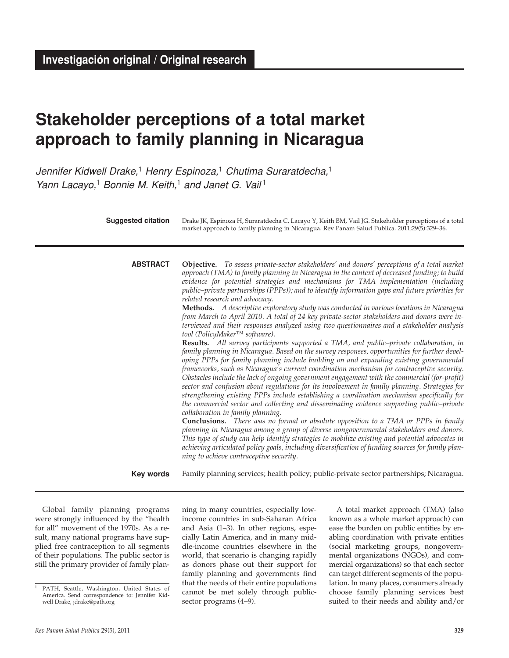# **Stakeholder perceptions of a total market approach to family planning in Nicaragua**

Jennifer Kidwell Drake,<sup>1</sup> Henry Espinoza,<sup>1</sup> Chutima Suraratdecha,<sup>1</sup> Yann Lacayo,<sup>1</sup> Bonnie M. Keith,<sup>1</sup> and Janet G. Vail<sup>1</sup>

| <b>Suggested citation</b> | Drake JK, Espinoza H, Suraratdecha C, Lacayo Y, Keith BM, Vail JG. Stakeholder perceptions of a total<br>market approach to family planning in Nicaragua. Rev Panam Salud Publica. 2011;29(5):329–36.                                                                                                                                                                                                                                                                                                                                                                                                                                                                                                                                                                                                                                                                                                                                                                                                                                                                                                                                                                                                                                                                                                                                                                                                                                                                                                                                                                                                                                                                                                                                                                                                                                                                                                                                                                                                           |
|---------------------------|-----------------------------------------------------------------------------------------------------------------------------------------------------------------------------------------------------------------------------------------------------------------------------------------------------------------------------------------------------------------------------------------------------------------------------------------------------------------------------------------------------------------------------------------------------------------------------------------------------------------------------------------------------------------------------------------------------------------------------------------------------------------------------------------------------------------------------------------------------------------------------------------------------------------------------------------------------------------------------------------------------------------------------------------------------------------------------------------------------------------------------------------------------------------------------------------------------------------------------------------------------------------------------------------------------------------------------------------------------------------------------------------------------------------------------------------------------------------------------------------------------------------------------------------------------------------------------------------------------------------------------------------------------------------------------------------------------------------------------------------------------------------------------------------------------------------------------------------------------------------------------------------------------------------------------------------------------------------------------------------------------------------|
| <b>ABSTRACT</b>           | Objective. To assess private-sector stakeholders' and donors' perceptions of a total market<br>approach (TMA) to family planning in Nicaragua in the context of decreased funding; to build<br>evidence for potential strategies and mechanisms for TMA implementation (including<br>public–private partnerships (PPPs)); and to identify information gaps and future priorities for<br>related research and advocacy.<br>Methods. A descriptive exploratory study was conducted in various locations in Nicaragua<br>from March to April 2010. A total of 24 key private-sector stakeholders and donors were in-<br>terviewed and their responses analyzed using two questionnaires and a stakeholder analysis<br>tool (PolicyMaker™ software).<br>Results. All survey participants supported a TMA, and public-private collaboration, in<br>family planning in Nicaragua. Based on the survey responses, opportunities for further devel-<br>oping PPPs for family planning include building on and expanding existing governmental<br>frameworks, such as Nicaragua's current coordination mechanism for contraceptive security.<br>Obstacles include the lack of ongoing government engagement with the commercial (for-profit)<br>sector and confusion about regulations for its involvement in family planning. Strategies for<br>strengthening existing PPPs include establishing a coordination mechanism specifically for<br>the commercial sector and collecting and disseminating evidence supporting public-private<br>collaboration in family planning.<br><b>Conclusions.</b> There was no formal or absolute opposition to a TMA or PPPs in family<br>planning in Nicaragua among a group of diverse nongovernmental stakeholders and donors.<br>This type of study can help identify strategies to mobilize existing and potential advocates in<br>achieving articulated policy goals, including diversification of funding sources for family plan-<br>ning to achieve contraceptive security. |
| Key words                 | Family planning services; health policy; public-private sector partnerships; Nicaragua.                                                                                                                                                                                                                                                                                                                                                                                                                                                                                                                                                                                                                                                                                                                                                                                                                                                                                                                                                                                                                                                                                                                                                                                                                                                                                                                                                                                                                                                                                                                                                                                                                                                                                                                                                                                                                                                                                                                         |

Global family planning programs were strongly influenced by the "health for all" movement of the 1970s. As a result, many national programs have supplied free contraception to all segments of their populations. The public sector is still the primary provider of family planning in many countries, especially lowincome countries in sub-Saharan Africa and Asia (1–3). In other regions, especially Latin America, and in many middle-income countries elsewhere in the world, that scenario is changing rapidly as donors phase out their support for family planning and governments find that the needs of their entire populations cannot be met solely through publicsector programs (4–9).

A total market approach (TMA) (also known as a whole market approach) can ease the burden on public entities by enabling coordination with private entities (social marketing groups, nongovernmental organizations (NGOs), and commercial organizations) so that each sector can target different segments of the population. In many places, consumers already choose family planning services best suited to their needs and ability and/or

<sup>&</sup>lt;sup>1</sup> PATH, Seattle, Washington, United States of America. Send correspondence to: Jennifer Kidwell Drake, jdrake@path.org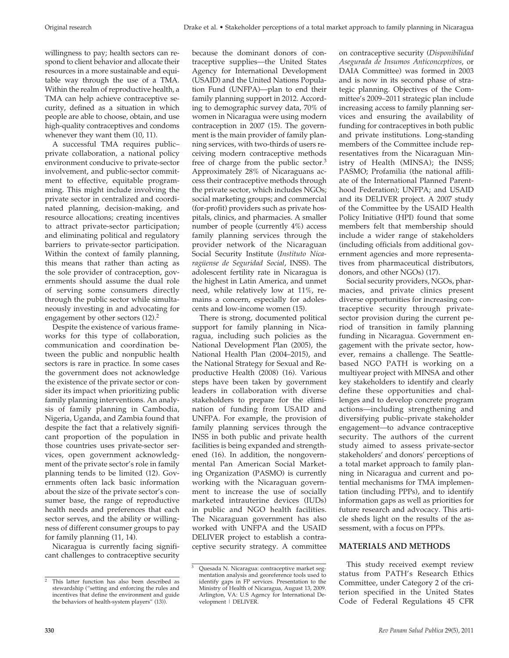willingness to pay; health sectors can respond to client behavior and allocate their resources in a more sustainable and equitable way through the use of a TMA. Within the realm of reproductive health, a TMA can help achieve contraceptive security, defined as a situation in which people are able to choose, obtain, and use high-quality contraceptives and condoms whenever they want them  $(10, 11)$ .

A successful TMA requires public– private collaboration, a national policy environment conducive to private-sector involvement, and public-sector commitment to effective, equitable programming. This might include involving the private sector in centralized and coordinated planning, decision-making, and resource allocations; creating incentives to attract private-sector participation; and eliminating political and regulatory barriers to private-sector participation. Within the context of family planning, this means that rather than acting as the sole provider of contraception, governments should assume the dual role of serving some consumers directly through the public sector while simultaneously investing in and advocating for engagement by other sectors  $(12)$ <sup>2</sup>

Despite the existence of various frameworks for this type of collaboration, communication and coordination between the public and nonpublic health sectors is rare in practice. In some cases the government does not acknowledge the existence of the private sector or consider its impact when prioritizing public family planning interventions. An analysis of family planning in Cambodia, Nigeria, Uganda, and Zambia found that despite the fact that a relatively significant proportion of the population in those countries uses private-sector services, open government acknowledgment of the private sector's role in family planning tends to be limited (12). Governments often lack basic information about the size of the private sector's consumer base, the range of reproductive health needs and preferences that each sector serves, and the ability or willingness of different consumer groups to pay for family planning (11, 14).

Nicaragua is currently facing significant challenges to contraceptive security because the dominant donors of contraceptive supplies—the United States Agency for International Development (USAID) and the United Nations Population Fund (UNFPA)—plan to end their family planning support in 2012. According to demographic survey data, 70% of women in Nicaragua were using modern contraception in 2007 (15). The government is the main provider of family planning services, with two-thirds of users receiving modern contraceptive methods free of charge from the public sector.<sup>3</sup> Approximately 28% of Nicaraguans access their contraceptive methods through the private sector, which includes NGOs; social marketing groups; and commercial (for-profit) providers such as private hospitals, clinics, and pharmacies. A smaller number of people (currently 4%) access family planning services through the provider network of the Nicaraguan Social Security Institute (*Instituto Nicaragüense de Seguridad Social*, INSS). The adolescent fertility rate in Nicaragua is the highest in Latin America, and unmet need, while relatively low at 11%, remains a concern, especially for adolescents and low-income women (15).

There is strong, documented political support for family planning in Nicaragua, including such policies as the National Development Plan (2005), the National Health Plan (2004–2015), and the National Strategy for Sexual and Reproductive Health (2008) (16). Various steps have been taken by government leaders in collaboration with diverse stakeholders to prepare for the elimination of funding from USAID and UNFPA. For example, the provision of family planning services through the INSS in both public and private health facilities is being expanded and strengthened (16). In addition, the nongovernmental Pan American Social Marketing Organization (PASMO) is currently working with the Nicaraguan government to increase the use of socially marketed intrauterine devices (IUDs) in public and NGO health facilities. The Nicaraguan government has also worked with UNFPA and the USAID DELIVER project to establish a contraceptive security strategy. A committee

on contraceptive security (*Disponibilidad Asegurada de Insumos Anticonceptivos*, or DAIA Committee) was formed in 2003 and is now in its second phase of strategic planning. Objectives of the Committee's 2009–2011 strategic plan include increasing access to family planning services and ensuring the availability of funding for contraceptives in both public and private institutions. Long-standing members of the Committee include representatives from the Nicaraguan Ministry of Health (MINSA); the INSS; PASMO; Profamilia (the national affiliate of the International Planned Parenthood Federation); UNFPA; and USAID and its DELIVER project. A 2007 study of the Committee by the USAID Health Policy Initiative (HPI) found that some members felt that membership should include a wider range of stakeholders (including officials from additional government agencies and more representatives from pharmaceutical distributors, donors, and other NGOs) (17).

Social security providers, NGOs, pharmacies, and private clinics present diverse opportunities for increasing contraceptive security through privatesector provision during the current period of transition in family planning funding in Nicaragua. Government engagement with the private sector, however, remains a challenge. The Seattlebased NGO PATH is working on a multiyear project with MINSA and other key stakeholders to identify and clearly define these opportunities and challenges and to develop concrete program actions—including strengthening and diversifying public–private stakeholder engagement—to advance contraceptive security. The authors of the current study aimed to assess private-sector stakeholders' and donors' perceptions of a total market approach to family planning in Nicaragua and current and potential mechanisms for TMA implementation (including PPPs), and to identify information gaps as well as priorities for future research and advocacy. This article sheds light on the results of the assessment, with a focus on PPPs.

# **MATERIALS AND METHODS**

This study received exempt review status from PATH's Research Ethics Committee, under Category 2 of the criterion specified in the United States Code of Federal Regulations 45 CFR

<sup>&</sup>lt;sup>2</sup> This latter function has also been described as stewardship ("setting and enforcing the rules and incentives that define the environment and guide the behaviors of health-system players" (13)).

<sup>3</sup> Quesada N. Nicaragua: contraceptive market segmentation analysis and georeference tools used to identify gaps in FP services. Presentation to the Ministry of Health of Nicaragua, August 13, 2009. Arlington, VA: U.S Agency for International Development | DELIVER.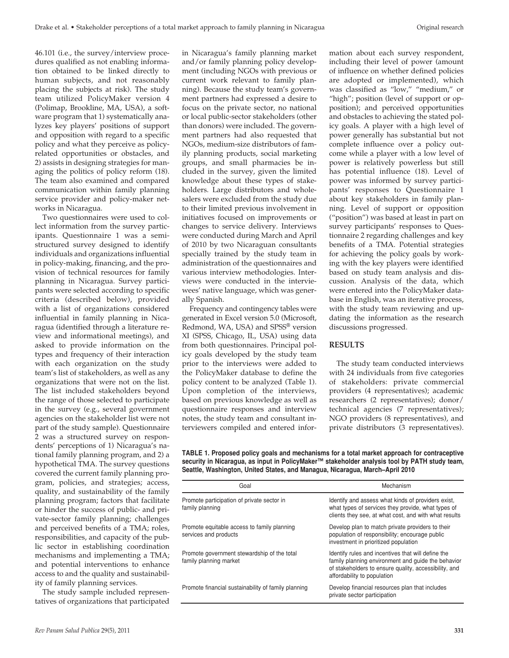46.101 (i.e., the survey/interview procedures qualified as not enabling information obtained to be linked directly to human subjects, and not reasonably placing the subjects at risk). The study team utilized PolicyMaker version 4 (Polimap, Brookline, MA, USA), a software program that 1) systematically analyzes key players' positions of support and opposition with regard to a specific policy and what they perceive as policyrelated opportunities or obstacles, and 2) assists in designing strategies for managing the politics of policy reform (18). The team also examined and compared communication within family planning service provider and policy-maker networks in Nicaragua.

Two questionnaires were used to collect information from the survey participants. Questionnaire 1 was a semistructured survey designed to identify individuals and organizations influential in policy-making, financing, and the provision of technical resources for family planning in Nicaragua. Survey participants were selected according to specific criteria (described below), provided with a list of organizations considered influential in family planning in Nicaragua (identified through a literature review and informational meetings), and asked to provide information on the types and frequency of their interaction with each organization on the study team's list of stakeholders, as well as any organizations that were not on the list. The list included stakeholders beyond the range of those selected to participate in the survey (e.g., several government agencies on the stakeholder list were not part of the study sample). Questionnaire 2 was a structured survey on respondents' perceptions of 1) Nicaragua's national family planning program, and 2) a hypothetical TMA. The survey questions covered the current family planning program, policies, and strategies; access, quality, and sustainability of the family planning program; factors that facilitate or hinder the success of public- and private-sector family planning; challenges and perceived benefits of a TMA; roles, responsibilities, and capacity of the public sector in establishing coordination mechanisms and implementing a TMA; and potential interventions to enhance access to and the quality and sustainability of family planning services.

The study sample included representatives of organizations that participated in Nicaragua's family planning market and/or family planning policy development (including NGOs with previous or current work relevant to family planning). Because the study team's government partners had expressed a desire to focus on the private sector, no national or local public-sector stakeholders (other than donors) were included. The government partners had also requested that NGOs, medium-size distributors of family planning products, social marketing groups, and small pharmacies be included in the survey, given the limited knowledge about these types of stakeholders. Large distributors and wholesalers were excluded from the study due to their limited previous involvement in initiatives focused on improvements or changes to service delivery. Interviews were conducted during March and April of 2010 by two Nicaraguan consultants specially trained by the study team in administration of the questionnaires and various interview methodologies. Interviews were conducted in the interviewees' native language, which was generally Spanish.

Frequency and contingency tables were generated in Excel version 5.0 (Microsoft, Redmond, WA, USA) and SPSS® version XI (SPSS, Chicago, IL, USA) using data from both questionnaires. Principal policy goals developed by the study team prior to the interviews were added to the PolicyMaker database to define the policy content to be analyzed (Table 1). Upon completion of the interviews, based on previous knowledge as well as questionnaire responses and interview notes, the study team and consultant interviewers compiled and entered infor-

mation about each survey respondent, including their level of power (amount of influence on whether defined policies are adopted or implemented), which was classified as "low," "medium," or "high"; position (level of support or opposition); and perceived opportunities and obstacles to achieving the stated policy goals. A player with a high level of power generally has substantial but not complete influence over a policy outcome while a player with a low level of power is relatively powerless but still has potential influence (18). Level of power was informed by survey participants' responses to Questionnaire 1 about key stakeholders in family planning. Level of support or opposition ("position") was based at least in part on survey participants' responses to Questionnaire 2 regarding challenges and key benefits of a TMA. Potential strategies for achieving the policy goals by working with the key players were identified based on study team analysis and discussion. Analysis of the data, which were entered into the PolicyMaker database in English, was an iterative process, with the study team reviewing and updating the information as the research discussions progressed.

# **RESULTS**

The study team conducted interviews with 24 individuals from five categories of stakeholders: private commercial providers (4 representatives); academic researchers (2 representatives); donor/ technical agencies (7 representatives); NGO providers (8 representatives), and private distributors (3 representatives).

**TABLE 1. Proposed policy goals and mechanisms for a total market approach for contraceptive security in Nicaragua, as input in PolicyMaker™ stakeholder analysis tool by PATH study team, Seattle, Washington, United States, and Managua, Nicaragua, March–April 2010**

| Goal                                                                  | Mechanism                                                                                                                                                                                        |
|-----------------------------------------------------------------------|--------------------------------------------------------------------------------------------------------------------------------------------------------------------------------------------------|
| Promote participation of private sector in<br>family planning         | Identify and assess what kinds of providers exist.<br>what types of services they provide, what types of<br>clients they see, at what cost, and with what results                                |
| Promote equitable access to family planning<br>services and products  | Develop plan to match private providers to their<br>population of responsibility; encourage public<br>investment in prioritized population                                                       |
| Promote government stewardship of the total<br>family planning market | Identify rules and incentives that will define the<br>family planning environment and quide the behavior<br>of stakeholders to ensure quality, accessibility, and<br>affordability to population |
| Promote financial sustainability of family planning                   | Develop financial resources plan that includes<br>private sector participation                                                                                                                   |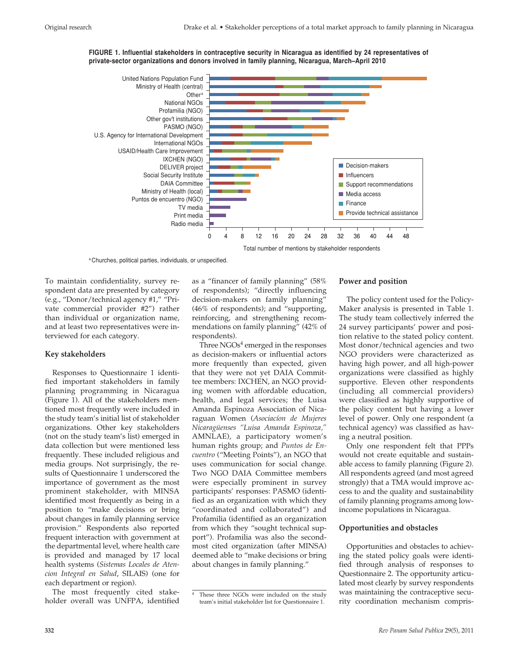



a Churches, political parties, individuals, or unspecified.

To maintain confidentiality, survey respondent data are presented by category (e.g., "Donor/technical agency #1," "Private commercial provider #2") rather than individual or organization name, and at least two representatives were interviewed for each category.

#### **Key stakeholders**

Responses to Questionnaire 1 identified important stakeholders in family planning programming in Nicaragua (Figure 1). All of the stakeholders mentioned most frequently were included in the study team's initial list of stakeholder organizations. Other key stakeholders (not on the study team's list) emerged in data collection but were mentioned less frequently. These included religious and media groups. Not surprisingly, the results of Questionnaire 1 underscored the importance of government as the most prominent stakeholder, with MINSA identified most frequently as being in a position to "make decisions or bring about changes in family planning service provision." Respondents also reported frequent interaction with government at the departmental level, where health care is provided and managed by 17 local health systems (*Sistemas Locales de Atencion Integral en Salud*, SILAIS) (one for each department or region).

The most frequently cited stakeholder overall was UNFPA, identified as a "financer of family planning" (58% of respondents); "directly influencing decision-makers on family planning" (46% of respondents); and "supporting, reinforcing, and strengthening recommendations on family planning" (42% of respondents).

Three  $NGOs<sup>4</sup>$  emerged in the responses as decision-makers or influential actors more frequently than expected, given that they were not yet DAIA Committee members: IXCHEN, an NGO providing women with affordable education, health, and legal services; the Luisa Amanda Espinoza Association of Nicaraguan Women (*Asociacíon de Mujeres Nicaragüenses "Luisa Amanda Espinoza,"* AMNLAE), a participatory women's human rights group; and *Puntos de Encuentro* ("Meeting Points"), an NGO that uses communication for social change. Two NGO DAIA Committee members were especially prominent in survey participants' responses: PASMO (identified as an organization with which they "coordinated and collaborated") and Profamilia (identified as an organization from which they "sought technical support"). Profamilia was also the secondmost cited organization (after MINSA) deemed able to "make decisions or bring about changes in family planning."

#### **Power and position**

The policy content used for the Policy-Maker analysis is presented in Table 1. The study team collectively inferred the 24 survey participants' power and position relative to the stated policy content. Most donor/technical agencies and two NGO providers were characterized as having high power, and all high-power organizations were classified as highly supportive. Eleven other respondents (including all commercial providers) were classified as highly supportive of the policy content but having a lower level of power. Only one respondent (a technical agency) was classified as having a neutral position.

Only one respondent felt that PPPs would not create equitable and sustainable access to family planning (Figure 2). All respondents agreed (and most agreed strongly) that a TMA would improve access to and the quality and sustainability of family planning programs among lowincome populations in Nicaragua.

#### **Opportunities and obstacles**

Opportunities and obstacles to achieving the stated policy goals were identified through analysis of responses to Questionnaire 2. The opportunity articulated most clearly by survey respondents was maintaining the contraceptive security coordination mechanism compris-

These three NGOs were included on the study team's initial stakeholder list for Questionnaire 1.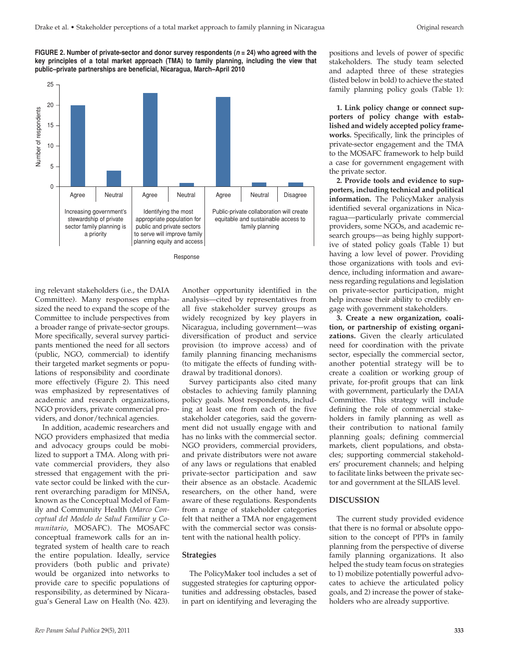**FIGURE 2. Number of private-sector and donor survey respondents (<sup>n</sup> = 24) who agreed with the key principles of a total market approach (TMA) to family planning, including the view that public–private partnerships are beneficial, Nicaragua, March–April 2010**



ing relevant stakeholders (i.e., the DAIA Committee). Many responses emphasized the need to expand the scope of the Committee to include perspectives from a broader range of private-sector groups. More specifically, several survey participants mentioned the need for all sectors (public, NGO, commercial) to identify their targeted market segments or populations of responsibility and coordinate more effectively (Figure 2). This need was emphasized by representatives of academic and research organizations, NGO providers, private commercial providers, and donor/technical agencies.

In addition, academic researchers and NGO providers emphasized that media and advocacy groups could be mobilized to support a TMA. Along with private commercial providers, they also stressed that engagement with the private sector could be linked with the current overarching paradigm for MINSA, known as the Conceptual Model of Family and Community Health (*Marco Conceptual del Modelo de Salud Familiar y Comunitario*, MOSAFC). The MOSAFC conceptual framework calls for an integrated system of health care to reach the entire population. Ideally, service providers (both public and private) would be organized into networks to provide care to specific populations of responsibility, as determined by Nicaragua's General Law on Health (No. 423).

Another opportunity identified in the analysis—cited by representatives from all five stakeholder survey groups as widely recognized by key players in Nicaragua, including government—was diversification of product and service provision (to improve access) and of family planning financing mechanisms (to mitigate the effects of funding withdrawal by traditional donors).

Survey participants also cited many obstacles to achieving family planning policy goals. Most respondents, including at least one from each of the five stakeholder categories, said the government did not usually engage with and has no links with the commercial sector. NGO providers, commercial providers, and private distributors were not aware of any laws or regulations that enabled private-sector participation and saw their absence as an obstacle. Academic researchers, on the other hand, were aware of these regulations. Respondents from a range of stakeholder categories felt that neither a TMA nor engagement with the commercial sector was consistent with the national health policy.

#### **Strategies**

The PolicyMaker tool includes a set of suggested strategies for capturing opportunities and addressing obstacles, based in part on identifying and leveraging the positions and levels of power of specific stakeholders. The study team selected and adapted three of these strategies (listed below in bold) to achieve the stated family planning policy goals (Table 1):

**1. Link policy change or connect supporters of policy change with established and widely accepted policy frameworks***.* Specifically, link the principles of private-sector engagement and the TMA to the MOSAFC framework to help build a case for government engagement with the private sector.

**2. Provide tools and evidence to supporters, including technical and political information.** The PolicyMaker analysis identified several organizations in Nicaragua—particularly private commercial providers, some NGOs, and academic research groups—as being highly supportive of stated policy goals (Table 1) but having a low level of power. Providing those organizations with tools and evidence, including information and awareness regarding regulations and legislation on private-sector participation, might help increase their ability to credibly engage with government stakeholders.

**3. Create a new organization, coalition, or partnership of existing organizations.** Given the clearly articulated need for coordination with the private sector, especially the commercial sector, another potential strategy will be to create a coalition or working group of private, for-profit groups that can link with government, particularly the DAIA Committee. This strategy will include defining the role of commercial stakeholders in family planning as well as their contribution to national family planning goals; defining commercial markets, client populations, and obstacles; supporting commercial stakeholders' procurement channels; and helping to facilitate links between the private sector and government at the SILAIS level.

# **DISCUSSION**

The current study provided evidence that there is no formal or absolute opposition to the concept of PPPs in family planning from the perspective of diverse family planning organizations. It also helped the study team focus on strategies to 1) mobilize potentially powerful advocates to achieve the articulated policy goals, and 2) increase the power of stakeholders who are already supportive.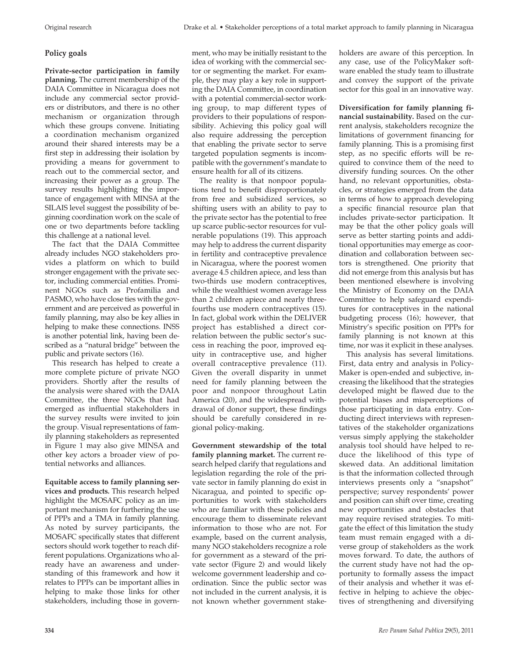# **Policy goals**

**Private-sector participation in family planning.** The current membership of the DAIA Committee in Nicaragua does not include any commercial sector providers or distributors, and there is no other mechanism or organization through which these groups convene. Initiating a coordination mechanism organized around their shared interests may be a first step in addressing their isolation by providing a means for government to reach out to the commercial sector, and increasing their power as a group. The survey results highlighting the importance of engagement with MINSA at the SILAIS level suggest the possibility of beginning coordination work on the scale of one or two departments before tackling this challenge at a national level.

The fact that the DAIA Committee already includes NGO stakeholders provides a platform on which to build stronger engagement with the private sector, including commercial entities. Prominent NGOs such as Profamilia and PASMO, who have close ties with the government and are perceived as powerful in family planning, may also be key allies in helping to make these connections. INSS is another potential link, having been described as a "natural bridge" between the public and private sectors (16).

This research has helped to create a more complete picture of private NGO providers. Shortly after the results of the analysis were shared with the DAIA Committee, the three NGOs that had emerged as influential stakeholders in the survey results were invited to join the group. Visual representations of family planning stakeholders as represented in Figure 1 may also give MINSA and other key actors a broader view of potential networks and alliances.

**Equitable access to family planning services and products***.* This research helped highlight the MOSAFC policy as an important mechanism for furthering the use of PPPs and a TMA in family planning. As noted by survey participants, the MOSAFC specifically states that different sectors should work together to reach different populations. Organizations who already have an awareness and understanding of this framework and how it relates to PPPs can be important allies in helping to make those links for other stakeholders, including those in government, who may be initially resistant to the idea of working with the commercial sector or segmenting the market. For example, they may play a key role in supporting the DAIA Committee, in coordination with a potential commercial-sector working group, to map different types of providers to their populations of responsibility. Achieving this policy goal will also require addressing the perception that enabling the private sector to serve targeted population segments is incompatible with the government's mandate to ensure health for all of its citizens.

The reality is that nonpoor populations tend to benefit disproportionately from free and subsidized services, so shifting users with an ability to pay to the private sector has the potential to free up scarce public-sector resources for vulnerable populations (19). This approach may help to address the current disparity in fertility and contraceptive prevalence in Nicaragua, where the poorest women average 4.5 children apiece, and less than two-thirds use modern contraceptives, while the wealthiest women average less than 2 children apiece and nearly threefourths use modern contraceptives (15). In fact, global work within the DELIVER project has established a direct correlation between the public sector's success in reaching the poor, improved equity in contraceptive use, and higher overall contraceptive prevalence (11). Given the overall disparity in unmet need for family planning between the poor and nonpoor throughout Latin America (20), and the widespread withdrawal of donor support, these findings should be carefully considered in regional policy-making.

**Government stewardship of the total family planning market.** The current research helped clarify that regulations and legislation regarding the role of the private sector in family planning do exist in Nicaragua, and pointed to specific opportunities to work with stakeholders who are familiar with these policies and encourage them to disseminate relevant information to those who are not. For example, based on the current analysis, many NGO stakeholders recognize a role for government as a steward of the private sector (Figure 2) and would likely welcome government leadership and coordination. Since the public sector was not included in the current analysis, it is not known whether government stakeholders are aware of this perception. In any case, use of the PolicyMaker software enabled the study team to illustrate and convey the support of the private sector for this goal in an innovative way.

**Diversification for family planning financial sustainability.** Based on the current analysis, stakeholders recognize the limitations of government financing for family planning. This is a promising first step, as no specific efforts will be required to convince them of the need to diversify funding sources. On the other hand, no relevant opportunities, obstacles, or strategies emerged from the data in terms of how to approach developing a specific financial resource plan that includes private-sector participation. It may be that the other policy goals will serve as better starting points and additional opportunities may emerge as coordination and collaboration between sectors is strengthened. One priority that did not emerge from this analysis but has been mentioned elsewhere is involving the Ministry of Economy on the DAIA Committee to help safeguard expenditures for contraceptives in the national budgeting process (16); however, that Ministry's specific position on PPPs for family planning is not known at this time, nor was it explicit in these analyses.

This analysis has several limitations. First, data entry and analysis in Policy-Maker is open-ended and subjective, increasing the likelihood that the strategies developed might be flawed due to the potential biases and misperceptions of those participating in data entry. Conducting direct interviews with representatives of the stakeholder organizations versus simply applying the stakeholder analysis tool should have helped to reduce the likelihood of this type of skewed data. An additional limitation is that the information collected through interviews presents only a "snapshot" perspective; survey respondents' power and position can shift over time, creating new opportunities and obstacles that may require revised strategies. To mitigate the effect of this limitation the study team must remain engaged with a diverse group of stakeholders as the work moves forward. To date, the authors of the current study have not had the opportunity to formally assess the impact of their analysis and whether it was effective in helping to achieve the objectives of strengthening and diversifying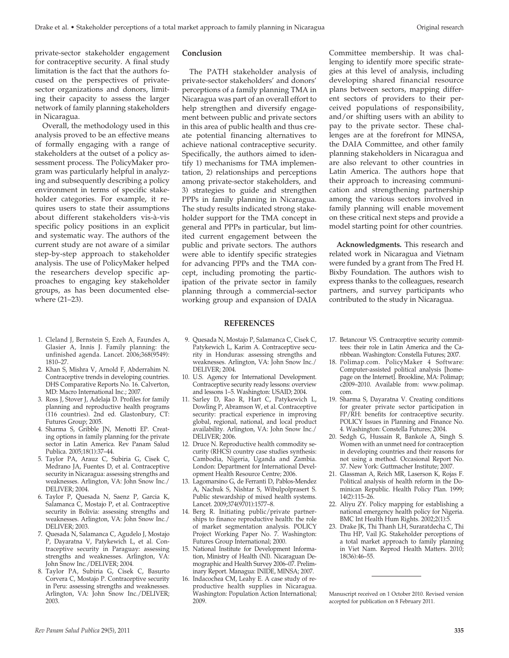private-sector stakeholder engagement for contraceptive security. A final study limitation is the fact that the authors focused on the perspectives of privatesector organizations and donors, limiting their capacity to assess the larger network of family planning stakeholders in Nicaragua.

Overall, the methodology used in this analysis proved to be an effective means of formally engaging with a range of stakeholders at the outset of a policy assessment process. The PolicyMaker program was particularly helpful in analyzing and subsequently describing a policy environment in terms of specific stakeholder categories. For example, it requires users to state their assumptions about different stakeholders vis-à-vis specific policy positions in an explicit and systematic way. The authors of the current study are not aware of a similar step-by-step approach to stakeholder analysis. The use of PolicyMaker helped the researchers develop specific approaches to engaging key stakeholder groups, as has been documented elsewhere (21–23).

- 1. Cleland J, Bernstein S, Ezeh A, Faundes A, Glasier A, Innis J. Family planning: the unfinished agenda. Lancet. 2006;368(9549): 1810–27.
- 2. Khan S, Mishra V, Arnold F, Abderrahim N. Contraceptive trends in developing countries. DHS Comparative Reports No. 16. Calverton, MD: Macro International Inc.; 2007.
- 3. Ross J, Stover J, Adelaja D. Profiles for family planning and reproductive health programs (116 countries). 2nd ed. Glastonbury, CT: Futures Group; 2005.
- 4. Sharma S, Gribble JN, Menotti EP. Creating options in family planning for the private sector in Latin America. Rev Panam Salud Publica. 2005;18(1):37–44.
- 5. Taylor PA, Arauz C, Subiria G, Cisek C, Medrano JA, Fuentes D, et al. Contraceptive security in Nicaragua: assessing strengths and weaknesses. Arlington, VA: John Snow Inc./ DELIVER; 2004.
- 6. Taylor P, Quesada N, Saenz P, Garcia K, Salamanca C, Mostajo P, et al. Contraceptive security in Bolivia: assessing strengths and weaknesses. Arlington, VA: John Snow Inc./ DELIVER; 2003.
- 7. Quesada N, Salamanca C, Agudelo J, Mostajo P, Dayaratna V, Patykewich L, et al. Contraceptive security in Paraguay: assessing strengths and weaknesses. Arlington, VA: John Snow Inc./DELIVER; 2004.
- 8. Taylor PA, Subiria G, Cisek C, Basurto Corvera C, Mostajo P. Contraceptive security in Peru: assessing strengths and weaknesses. Arlington, VA: John Snow Inc./DELIVER; 2003.

### **Conclusion**

The PATH stakeholder analysis of private-sector stakeholders' and donors' perceptions of a family planning TMA in Nicaragua was part of an overall effort to help strengthen and diversify engagement between public and private sectors in this area of public health and thus create potential financing alternatives to achieve national contraceptive security. Specifically, the authors aimed to identify 1) mechanisms for TMA implementation, 2) relationships and perceptions among private-sector stakeholders, and 3) strategies to guide and strengthen PPPs in family planning in Nicaragua. The study results indicated strong stakeholder support for the TMA concept in general and PPPs in particular, but limited current engagement between the public and private sectors. The authors were able to identify specific strategies for advancing PPPs and the TMA concept, including promoting the participation of the private sector in family planning through a commercial-sector working group and expansion of DAIA

Committee membership. It was challenging to identify more specific strategies at this level of analysis, including developing shared financial resource plans between sectors, mapping different sectors of providers to their perceived populations of responsibility, and/or shifting users with an ability to pay to the private sector. These challenges are at the forefront for MINSA, the DAIA Committee, and other family planning stakeholders in Nicaragua and are also relevant to other countries in Latin America. The authors hope that their approach to increasing communication and strengthening partnership among the various sectors involved in family planning will enable movement on these critical next steps and provide a model starting point for other countries.

**Acknowledgments.** This research and related work in Nicaragua and Vietnam were funded by a grant from The Fred H. Bixby Foundation. The authors wish to express thanks to the colleagues, research partners, and survey participants who contributed to the study in Nicaragua.

#### **REFERENCES**

- 9. Quesada N, Mostajo P, Salamanca C, Cisek C, Patykewich L, Karim A. Contraceptive security in Honduras: assessing strengths and weaknesses. Arlington, VA: John Snow Inc./ DELIVER; 2004.
- 10. U.S. Agency for International Development. Contraceptive security ready lessons: overview and lessons 1–5. Washington: USAID; 2004.
- 11. Sarley D, Rao R, Hart C, Patykewich L, Dowling P, Abramson W, et al. Contraceptive security: practical experience in improving global, regional, national, and local product availability. Arlington, VA: John Snow Inc./ DELIVER; 2006.
- 12. Druce N. Reproductive health commodity security (RHCS) country case studies synthesis: Cambodia, Nigeria, Uganda and Zambia. London: Department for International Development Health Resource Centre; 2006.
- 13. Lagomarsino G, de Ferranti D, Pablos-Mendez A, Nachuk S, Nishtar S, Wibulpolprasert S. Public stewardship of mixed health systems. Lancet. 2009;374(9701):1577–8.
- 14. Berg R. Initiating public/private partnerships to finance reproductive health: the role of market segmentation analysis. POLICY Project Working Paper No. 7. Washington: Futures Group International; 2000.
- 15. National Institute for Development Information, Ministry of Health (NI). Nicaraguan Demographic and Health Survey 2006–07. Preliminary Report. Managua: INIDE, MINSA; 2007.
- 16. Indacochea CM, Leahy E. A case study of reproductive health supplies in Nicaragua. Washington: Population Action International; 2009.
- 17. Betancour VS. Contraceptive security committees: their role in Latin America and the Caribbean. Washington: Constella Futures; 2007.
- 18. Polimap.com. PolicyMaker 4 Software: Computer-assisted political analysis [homepage on the Internet]. Brookline, MA: Polimap; c2009–2010. Available from: www.polimap. com.
- 19. Sharma S, Dayaratna V. Creating conditions for greater private sector participation in FP/RH: benefits for contraceptive security. POLICY Issues in Planning and Finance No. 4. Washington: Constella Futures; 2004.
- 20. Sedgh G, Hussain R, Bankole A, Singh S. Women with an unmet need for contraception in developing countries and their reasons for not using a method. Occasional Report No. 37. New York: Guttmacher Institute; 2007.
- 21. Glassman A, Reich MR, Laserson K, Rojas F. Political analysis of health reform in the Dominican Republic. Health Policy Plan. 1999;  $14(2) \cdot 115 - 26$
- 22. Aliyu ZY. Policy mapping for establishing a national emergency health policy for Nigeria. BMC Int Health Hum Rights. 2002;2(1):5.
- 23. Drake JK, Thi Thanh LH, Suraratdecha C, Thi Thu HP, Vail JG. Stakeholder perceptions of a total market approach to family planning in Viet Nam. Reprod Health Matters. 2010; 18(36):46–55.

Manuscript received on 1 October 2010. Revised version accepted for publication on 8 February 2011.